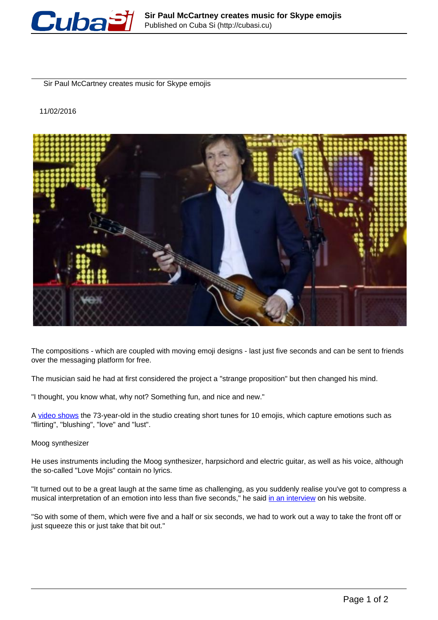

Sir Paul McCartney creates music for Skype emojis

11/02/2016



The compositions - which are coupled with moving emoji designs - last just five seconds and can be sent to friends over the messaging platform for free.

The musician said he had at first considered the project a "strange proposition" but then changed his mind.

"I thought, you know what, why not? Something fun, and nice and new."

A [video shows](https://youtu.be/if9alWyEI8U) the 73-year-old in the studio creating short tunes for 10 emojis, which capture emotions such as "flirting", "blushing", "love" and "lust".

Moog synthesizer

He uses instruments including the Moog synthesizer, harpsichord and electric guitar, as well as his voice, although the so-called "Love Mojis" contain no lyrics.

"It turned out to be a great laugh at the same time as challenging, as you suddenly realise you've got to compress a musical interpretation of an emotion into less than five seconds," he said in an interview on his website.

"So with some of them, which were five and a half or six seconds, we had to work out a way to take the front off or just squeeze this or just take that bit out."